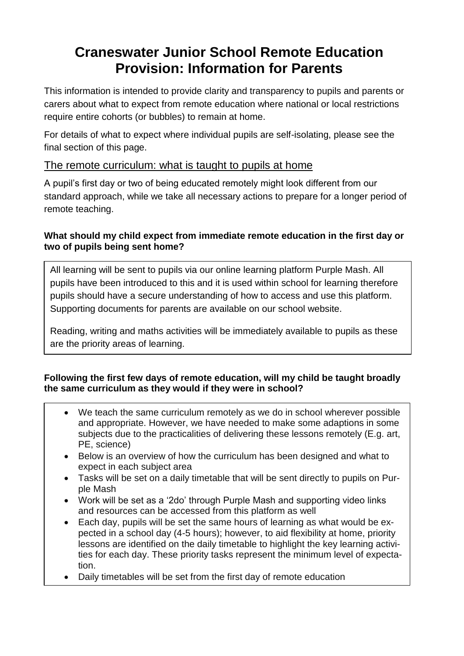# **Craneswater Junior School Remote Education Provision: Information for Parents**

This information is intended to provide clarity and transparency to pupils and parents or carers about what to expect from remote education where national or local restrictions require entire cohorts (or bubbles) to remain at home.

For details of what to expect where individual pupils are self-isolating, please see the final section of this page.

### The remote curriculum: what is taught to pupils at home

A pupil's first day or two of being educated remotely might look different from our standard approach, while we take all necessary actions to prepare for a longer period of remote teaching.

### **What should my child expect from immediate remote education in the first day or two of pupils being sent home?**

All learning will be sent to pupils via our online learning platform Purple Mash. All pupils have been introduced to this and it is used within school for learning therefore pupils should have a secure understanding of how to access and use this platform. Supporting documents for parents are available on our school website.

Reading, writing and maths activities will be immediately available to pupils as these are the priority areas of learning.

### **Following the first few days of remote education, will my child be taught broadly the same curriculum as they would if they were in school?**

- We teach the same curriculum remotely as we do in school wherever possible and appropriate. However, we have needed to make some adaptions in some subjects due to the practicalities of delivering these lessons remotely (E.g. art, PE, science)
- Below is an overview of how the curriculum has been designed and what to expect in each subject area
- Tasks will be set on a daily timetable that will be sent directly to pupils on Purple Mash
- Work will be set as a '2do' through Purple Mash and supporting video links and resources can be accessed from this platform as well
- Each day, pupils will be set the same hours of learning as what would be expected in a school day (4-5 hours); however, to aid flexibility at home, priority lessons are identified on the daily timetable to highlight the key learning activities for each day. These priority tasks represent the minimum level of expectation.
- Daily timetables will be set from the first day of remote education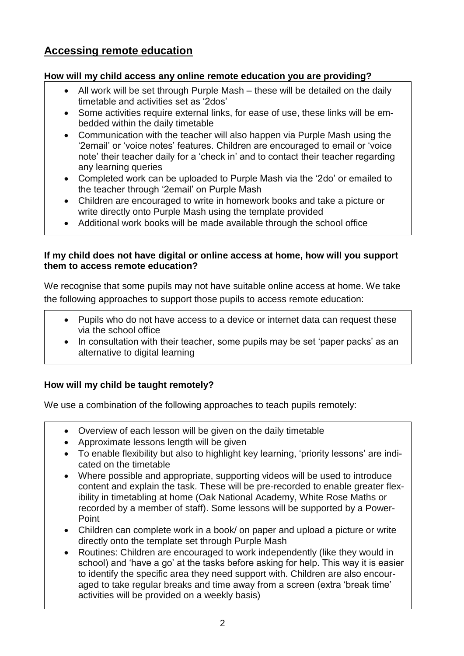# **Accessing remote education**

### **How will my child access any online remote education you are providing?**

- All work will be set through Purple Mash these will be detailed on the daily timetable and activities set as '2dos'
- Some activities require external links, for ease of use, these links will be embedded within the daily timetable
- Communication with the teacher will also happen via Purple Mash using the '2email' or 'voice notes' features. Children are encouraged to email or 'voice note' their teacher daily for a 'check in' and to contact their teacher regarding any learning queries
- Completed work can be uploaded to Purple Mash via the '2do' or emailed to the teacher through '2email' on Purple Mash
- Children are encouraged to write in homework books and take a picture or write directly onto Purple Mash using the template provided
- Additional work books will be made available through the school office

### **If my child does not have digital or online access at home, how will you support them to access remote education?**

We recognise that some pupils may not have suitable online access at home. We take the following approaches to support those pupils to access remote education:

- Pupils who do not have access to a device or internet data can request these via the school office
- In consultation with their teacher, some pupils may be set 'paper packs' as an alternative to digital learning

### **How will my child be taught remotely?**

We use a combination of the following approaches to teach pupils remotely:

- Overview of each lesson will be given on the daily timetable
- Approximate lessons length will be given
- To enable flexibility but also to highlight key learning, 'priority lessons' are indicated on the timetable
- Where possible and appropriate, supporting videos will be used to introduce content and explain the task. These will be pre-recorded to enable greater flexibility in timetabling at home (Oak National Academy, White Rose Maths or recorded by a member of staff). Some lessons will be supported by a Power-Point
- Children can complete work in a book/ on paper and upload a picture or write directly onto the template set through Purple Mash
- Routines: Children are encouraged to work independently (like they would in school) and 'have a go' at the tasks before asking for help. This way it is easier to identify the specific area they need support with. Children are also encouraged to take regular breaks and time away from a screen (extra 'break time' activities will be provided on a weekly basis)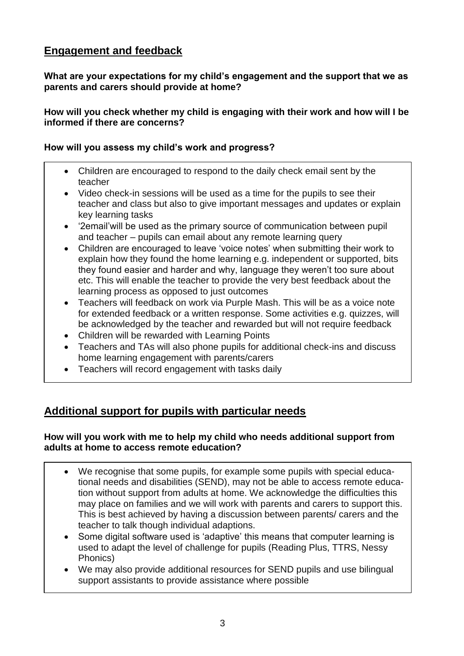# **Engagement and feedback**

### **What are your expectations for my child's engagement and the support that we as parents and carers should provide at home?**

### **How will you check whether my child is engaging with their work and how will I be informed if there are concerns?**

### **How will you assess my child's work and progress?**

- Children are encouraged to respond to the daily check email sent by the teacher
- Video check-in sessions will be used as a time for the pupils to see their teacher and class but also to give important messages and updates or explain key learning tasks
- '2email'will be used as the primary source of communication between pupil and teacher – pupils can email about any remote learning query
- Children are encouraged to leave 'voice notes' when submitting their work to explain how they found the home learning e.g. independent or supported, bits they found easier and harder and why, language they weren't too sure about etc. This will enable the teacher to provide the very best feedback about the learning process as opposed to just outcomes
- Teachers will feedback on work via Purple Mash. This will be as a voice note for extended feedback or a written response. Some activities e.g. quizzes, will be acknowledged by the teacher and rewarded but will not require feedback
- Children will be rewarded with Learning Points
- Teachers and TAs will also phone pupils for additional check-ins and discuss home learning engagement with parents/carers
- Teachers will record engagement with tasks daily

### **Additional support for pupils with particular needs**

#### **How will you work with me to help my child who needs additional support from adults at home to access remote education?**

- We recognise that some pupils, for example some pupils with special educational needs and disabilities (SEND), may not be able to access remote education without support from adults at home. We acknowledge the difficulties this may place on families and we will work with parents and carers to support this. This is best achieved by having a discussion between parents/ carers and the teacher to talk though individual adaptions.
- Some digital software used is 'adaptive' this means that computer learning is used to adapt the level of challenge for pupils (Reading Plus, TTRS, Nessy Phonics)
- We may also provide additional resources for SEND pupils and use bilingual support assistants to provide assistance where possible